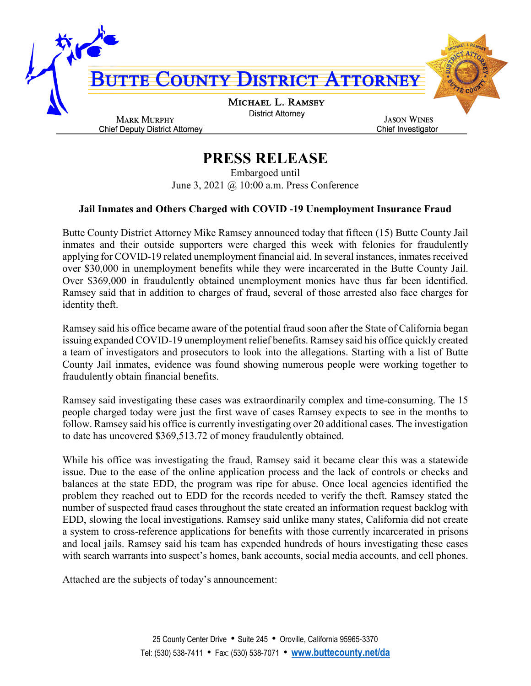

## **PRESS RELEASE**

Embargoed until June 3, 2021 @ 10:00 a.m. Press Conference

## **Jail Inmates and Others Charged with COVID -19 Unemployment Insurance Fraud**

Butte County District Attorney Mike Ramsey announced today that fifteen (15) Butte County Jail inmates and their outside supporters were charged this week with felonies for fraudulently applying for COVID-19 related unemployment financial aid. In several instances, inmates received over \$30,000 in unemployment benefits while they were incarcerated in the Butte County Jail. Over \$369,000 in fraudulently obtained unemployment monies have thus far been identified. Ramsey said that in addition to charges of fraud, several of those arrested also face charges for identity theft.

Ramsey said his office became aware of the potential fraud soon after the State of California began issuing expanded COVID-19 unemployment relief benefits. Ramsey said his office quickly created a team of investigators and prosecutors to look into the allegations. Starting with a list of Butte County Jail inmates, evidence was found showing numerous people were working together to fraudulently obtain financial benefits.

Ramsey said investigating these cases was extraordinarily complex and time-consuming. The 15 people charged today were just the first wave of cases Ramsey expects to see in the months to follow. Ramsey said his office is currently investigating over 20 additional cases. The investigation to date has uncovered \$369,513.72 of money fraudulently obtained.

While his office was investigating the fraud, Ramsey said it became clear this was a statewide issue. Due to the ease of the online application process and the lack of controls or checks and balances at the state EDD, the program was ripe for abuse. Once local agencies identified the problem they reached out to EDD for the records needed to verify the theft. Ramsey stated the number of suspected fraud cases throughout the state created an information request backlog with EDD, slowing the local investigations. Ramsey said unlike many states, California did not create a system to cross-reference applications for benefits with those currently incarcerated in prisons and local jails. Ramsey said his team has expended hundreds of hours investigating these cases with search warrants into suspect's homes, bank accounts, social media accounts, and cell phones.

Attached are the subjects of today's announcement: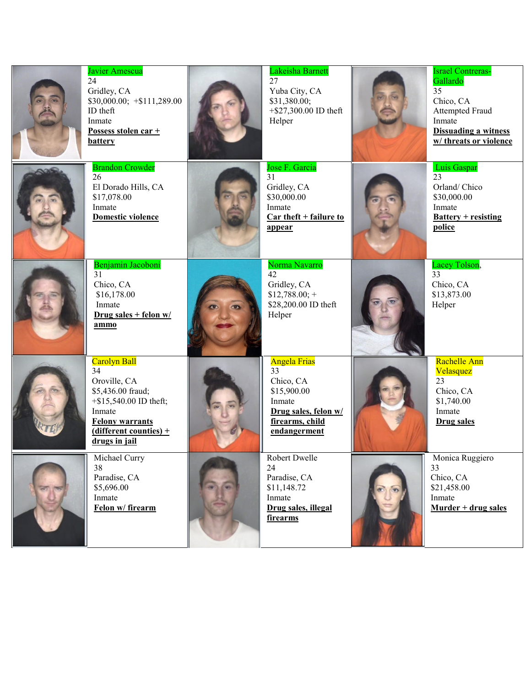| Javier Amescua<br>24<br>Gridley, CA<br>$$30,000.00; +$111,289.00$<br>ID theft<br>Inmate<br>Possess stolen car +<br><b>battery</b>                                     | Lakeisha Barnett<br>27<br>Yuba City, CA<br>\$31,380.00;<br>$+$ \$27,300.00 ID theft<br>Helper                              | <b>Israel Contreras-</b><br>Gallardo<br>35<br>Chico, CA<br><b>Attempted Fraud</b><br>Inmate<br><b>Dissuading a witness</b><br>w/ threats or violence |
|-----------------------------------------------------------------------------------------------------------------------------------------------------------------------|----------------------------------------------------------------------------------------------------------------------------|------------------------------------------------------------------------------------------------------------------------------------------------------|
| <b>Brandon Crowder</b><br>26<br>El Dorado Hills, CA<br>\$17,078.00<br>Inmate<br>Domestic violence                                                                     | Jose F. Garcia<br>31<br>Gridley, CA<br>\$30,000.00<br>Inmate<br>Car theft + failure to<br>appear                           | Luis Gaspar<br>23<br>Orland/Chico<br>\$30,000.00<br>Inmate<br>$Battery + resisting$<br>police                                                        |
| Benjamin Jacoboni<br>31<br>Chico, CA<br>\$16,178.00<br>Inmate<br>Drug sales + felon $w/$<br>ammo                                                                      | Norma Navarro<br>42<br>Gridley, CA<br>$$12,788.00; +$<br>\$28,200.00 ID theft<br>Helper                                    | Lacey Tolson,<br>33<br>Chico, CA<br>\$13,873.00<br>Helper                                                                                            |
| Carolyn Ball<br>34<br>Oroville, CA<br>\$5,436.00 fraud;<br>$+$ \$15,540.00 ID theft;<br>Inmate<br><b>Felony warrants</b><br>(different counties) $+$<br>drugs in jail | <b>Angela Frias</b><br>33<br>Chico, CA<br>\$15,900.00<br>Inmate<br>Drug sales, felon w/<br>firearms, child<br>endangerment | Rachelle Ann<br>Velasquez<br>23<br>Chico, CA<br>\$1,740.00<br>Inmate<br><b>Drug sales</b>                                                            |
| Michael Curry<br>38<br>Paradise, CA<br>\$5,696.00<br>Inmate<br>Felon w/firearm                                                                                        | Robert Dwelle<br>24<br>Paradise, CA<br>\$11,148.72<br>Inmate<br>Drug sales, illegal<br>firearms                            | Monica Ruggiero<br>33<br>Chico, CA<br>\$21,458.00<br>Inmate<br>$Murder + drug sales$                                                                 |